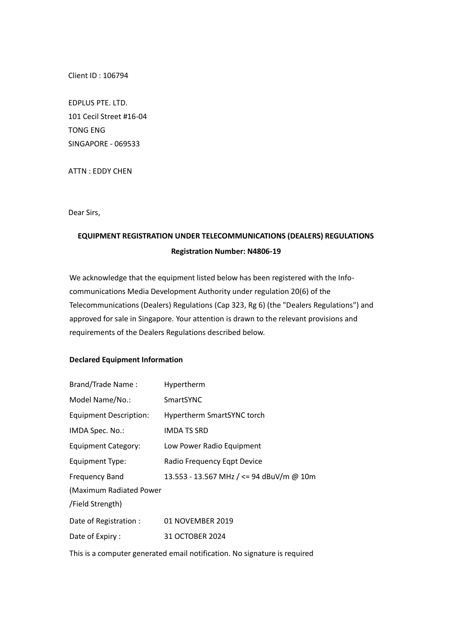Client ID : 106794

EDPLUS PTE. LTD. 101 Cecil Street #16-04 TONG ENG SINGAPORE - 069533

ATTN : EDDY CHEN

Dear Sirs,

## **EQUIPMENT REGISTRATION UNDER TELECOMMUNICATIONS (DEALERS) REGULATIONS Registration Number: N4806-19**

We acknowledge that the equipment listed below has been registered with the Infocommunications Media Development Authority under regulation 20(6) of the Telecommunications (Dealers) Regulations (Cap 323, Rg 6) (the "Dealers Regulations") and approved for sale in Singapore. Your attention is drawn to the relevant provisions and requirements of the Dealers Regulations described below.

## **Declared Equipment Information**

| <b>Brand/Trade Name:</b>      | Hypertherm                               |
|-------------------------------|------------------------------------------|
| Model Name/No.:               | SmartSYNC                                |
| <b>Equipment Description:</b> | Hypertherm SmartSYNC torch               |
| IMDA Spec. No.:               | IMDA TS SRD                              |
| Equipment Category:           | Low Power Radio Equipment                |
| <b>Equipment Type:</b>        | Radio Frequency Eqpt Device              |
| <b>Frequency Band</b>         | 13.553 - 13.567 MHz / <= 94 dBuV/m @ 10m |
| (Maximum Radiated Power)      |                                          |
| /Field Strength)              |                                          |
| Date of Registration:         | 01 NOVEMBER 2019                         |
| Date of Expiry:               | 31 OCTOBER 2024                          |

This is a computer generated email notification. No signature is required